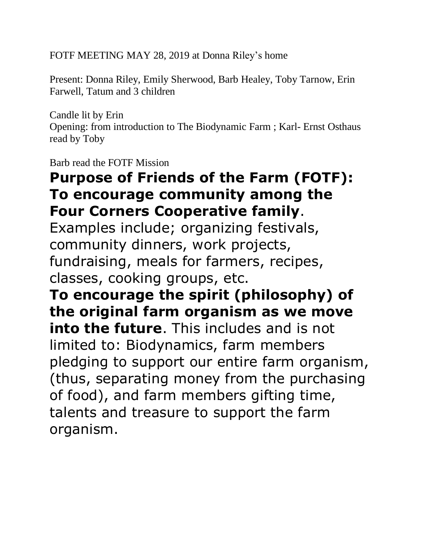FOTF MEETING MAY 28, 2019 at Donna Riley's home

Present: Donna Riley, Emily Sherwood, Barb Healey, Toby Tarnow, Erin Farwell, Tatum and 3 children

Candle lit by Erin Opening: from introduction to The Biodynamic Farm ; Karl- Ernst Osthaus read by Toby

Barb read the FOTF Mission

## **Purpose of Friends of the Farm (FOTF): To encourage community among the Four Corners Cooperative family**.

Examples include; organizing festivals, community dinners, work projects, fundraising, meals for farmers, recipes, classes, cooking groups, etc.

**To encourage the spirit (philosophy) of the original farm organism as we move into the future**. This includes and is not limited to: Biodynamics, farm members pledging to support our entire farm organism, (thus, separating money from the purchasing of food), and farm members gifting time, talents and treasure to support the farm organism.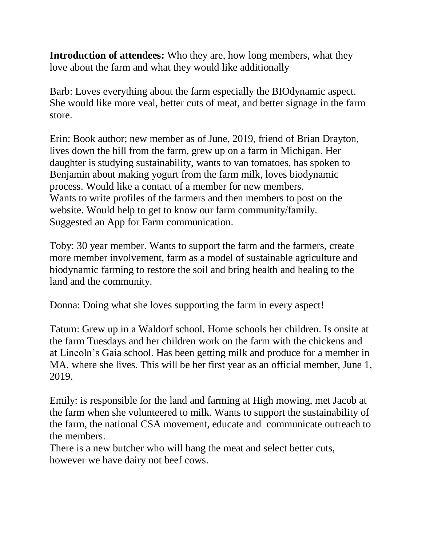**Introduction of attendees:** Who they are, how long members, what they love about the farm and what they would like additionally

Barb: Loves everything about the farm especially the BIOdynamic aspect. She would like more veal, better cuts of meat, and better signage in the farm store.

Erin: Book author; new member as of June, 2019, friend of Brian Drayton, lives down the hill from the farm, grew up on a farm in Michigan. Her daughter is studying sustainability, wants to van tomatoes, has spoken to Benjamin about making yogurt from the farm milk, loves biodynamic process. Would like a contact of a member for new members. Wants to write profiles of the farmers and then members to post on the website. Would help to get to know our farm community/family. Suggested an App for Farm communication.

Toby: 30 year member. Wants to support the farm and the farmers, create more member involvement, farm as a model of sustainable agriculture and biodynamic farming to restore the soil and bring health and healing to the land and the community.

Donna: Doing what she loves supporting the farm in every aspect!

Tatum: Grew up in a Waldorf school. Home schools her children. Is onsite at the farm Tuesdays and her children work on the farm with the chickens and at Lincoln's Gaia school. Has been getting milk and produce for a member in MA. where she lives. This will be her first year as an official member, June 1, 2019.

Emily: is responsible for the land and farming at High mowing, met Jacob at the farm when she volunteered to milk. Wants to support the sustainability of the farm, the national CSA movement, educate and communicate outreach to the members.

There is a new butcher who will hang the meat and select better cuts, however we have dairy not beef cows.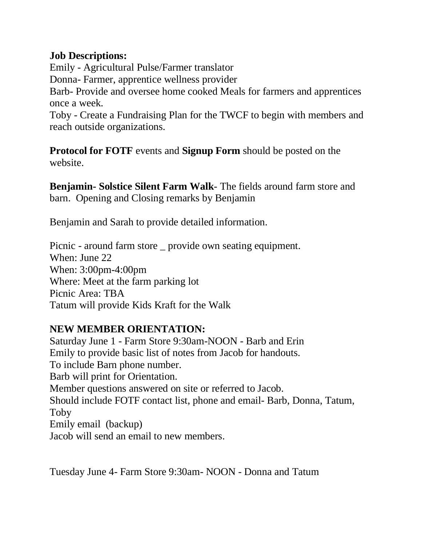## **Job Descriptions:**

Emily - Agricultural Pulse/Farmer translator Donna- Farmer, apprentice wellness provider Barb- Provide and oversee home cooked Meals for farmers and apprentices once a week. Toby - Create a Fundraising Plan for the TWCF to begin with members and

reach outside organizations.

**Protocol for FOTF** events and **Signup Form** should be posted on the website.

**Benjamin- Solstice Silent Farm Walk**- The fields around farm store and barn. Opening and Closing remarks by Benjamin

Benjamin and Sarah to provide detailed information.

Picnic - around farm store \_ provide own seating equipment. When: June 22 When: 3:00pm-4:00pm Where: Meet at the farm parking lot Picnic Area: TBA Tatum will provide Kids Kraft for the Walk

## **NEW MEMBER ORIENTATION:**

Saturday June 1 - Farm Store 9:30am-NOON - Barb and Erin Emily to provide basic list of notes from Jacob for handouts. To include Barn phone number. Barb will print for Orientation. Member questions answered on site or referred to Jacob. Should include FOTF contact list, phone and email- Barb, Donna, Tatum, Toby Emily email (backup) Jacob will send an email to new members.

Tuesday June 4- Farm Store 9:30am- NOON - Donna and Tatum